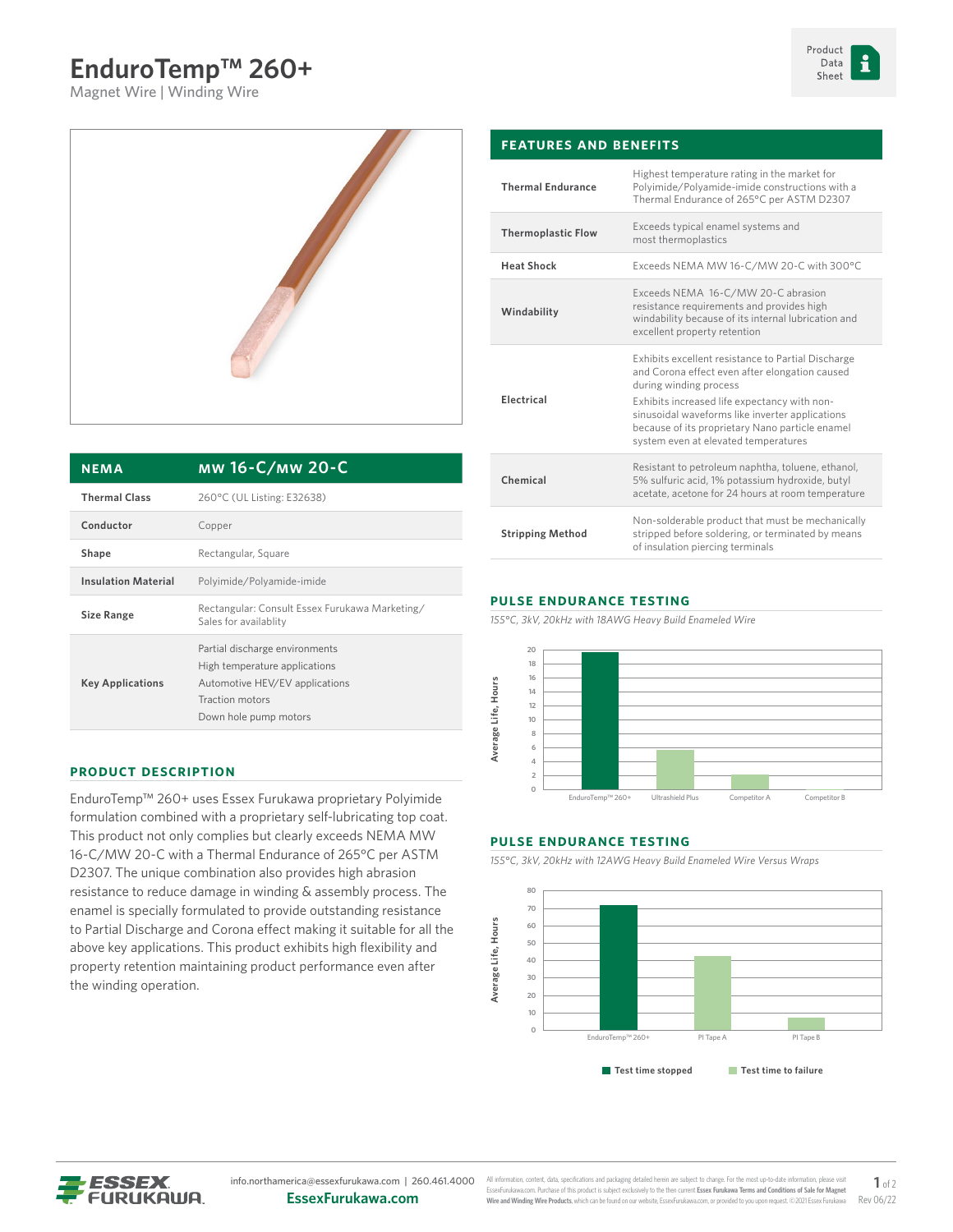# **EnduroTemp™ 260+**

Magnet Wire | Winding Wire





| <b>NEMA</b>                | мw 16-C/мw 20-C                                                                                                                               |
|----------------------------|-----------------------------------------------------------------------------------------------------------------------------------------------|
| <b>Thermal Class</b>       | 260°C (UL Listing: E32638)                                                                                                                    |
| Conductor                  | Copper                                                                                                                                        |
| Shape                      | Rectangular, Square                                                                                                                           |
| <b>Insulation Material</b> | Polyimide/Polyamide-imide                                                                                                                     |
| <b>Size Range</b>          | Rectangular: Consult Essex Furukawa Marketing/<br>Sales for availablity                                                                       |
| <b>Key Applications</b>    | Partial discharge environments<br>High temperature applications<br>Automotive HEV/EV applications<br>Traction motors<br>Down hole pump motors |

#### **Product Description**

EnduroTemp™ 260+ uses Essex Furukawa proprietary Polyimide formulation combined with a proprietary self-lubricating top coat. This product not only complies but clearly exceeds NEMA MW 16-C/MW 20-C with a Thermal Endurance of 265°C per ASTM D2307. The unique combination also provides high abrasion resistance to reduce damage in winding & assembly process. The enamel is specially formulated to provide outstanding resistance to Partial Discharge and Corona effect making it suitable for all the above key applications. This product exhibits high flexibility and property retention maintaining product performance even after the winding operation.

| <b>FEATURES AND BENEFITS</b> |                                                                                                                                                                                                                                                                                                                              |  |  |  |
|------------------------------|------------------------------------------------------------------------------------------------------------------------------------------------------------------------------------------------------------------------------------------------------------------------------------------------------------------------------|--|--|--|
| <b>Thermal Endurance</b>     | Highest temperature rating in the market for<br>Polyimide/Polyamide-imide constructions with a<br>Thermal Endurance of 265°C per ASTM D2307                                                                                                                                                                                  |  |  |  |
| <b>Thermoplastic Flow</b>    | Exceeds typical enamel systems and<br>most thermoplastics                                                                                                                                                                                                                                                                    |  |  |  |
| <b>Heat Shock</b>            | Exceeds NEMA MW 16-C/MW 20-C with 300°C                                                                                                                                                                                                                                                                                      |  |  |  |
| Windability                  | Exceeds NEMA 16-C/MW 20-C abrasion<br>resistance requirements and provides high<br>windability because of its internal lubrication and<br>excellent property retention                                                                                                                                                       |  |  |  |
| Electrical                   | Exhibits excellent resistance to Partial Discharge<br>and Corona effect even after elongation caused<br>during winding process<br>Exhibits increased life expectancy with non-<br>sinusoidal waveforms like inverter applications<br>because of its proprietary Nano particle enamel<br>system even at elevated temperatures |  |  |  |
| Chemical                     | Resistant to petroleum naphtha, toluene, ethanol,<br>5% sulfuric acid, 1% potassium hydroxide, butyl<br>acetate, acetone for 24 hours at room temperature                                                                                                                                                                    |  |  |  |
| <b>Stripping Method</b>      | Non-solderable product that must be mechanically<br>stripped before soldering, or terminated by means<br>of insulation piercing terminals                                                                                                                                                                                    |  |  |  |
|                              |                                                                                                                                                                                                                                                                                                                              |  |  |  |

### **Pulse Endurance Testing**

*155°C, 3kV, 20kHz with 18AWG Heavy Build Enameled Wire*



#### **Pulse Endurance Testing**

*155°C, 3kV, 20kHz with 12AWG Heavy Build Enameled Wire Versus Wraps*





All information, content, data, specifications and packaging detailed herein are subject to change. For the most up-to-date information, ple EssexFurukawa.com. Purchase of this product is subject exclusively to the then current **Essex Furukawa Terms and Conditions of Sale for Magnet Wire and Winding Wire Products**, which can be found on our website, [EssexFurukawa.com,](https://essexfurukawa.com) or provided to you upon request. ©2021 Essex Furukawa